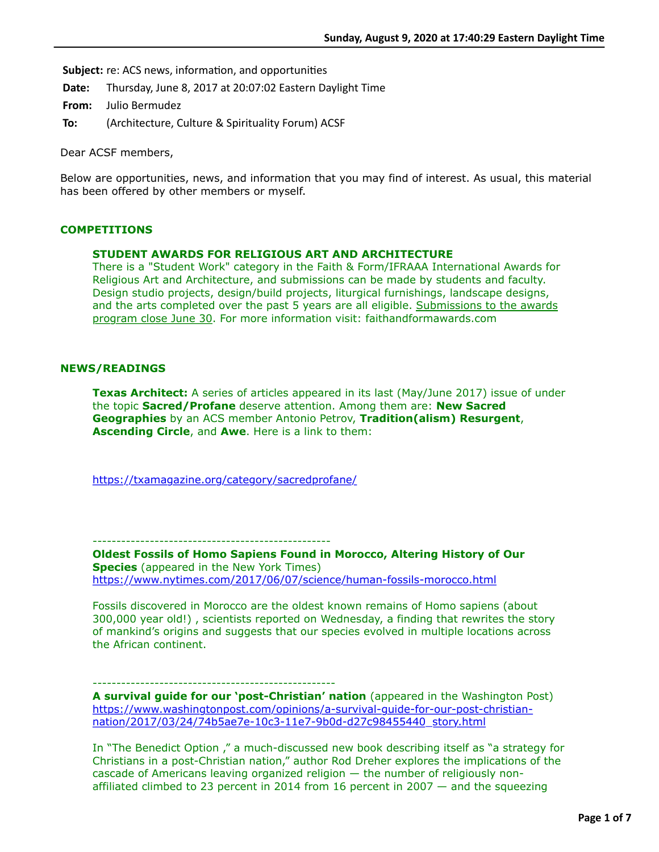**Subject:** re: ACS news, information, and opportunities

**Date:** Thursday, June 8, 2017 at 20:07:02 Eastern Daylight Time

**From:** Julio Bermudez

**To:** (Architecture, Culture & Spirituality Forum) ACSF

Dear ACSF members,

Below are opportunities, news, and information that you may find of interest. As usual, this material has been offered by other members or myself.

# **COMPETITIONS**

# **STUDENT AWARDS FOR RELIGIOUS ART AND ARCHITECTURE**

There is a "Student Work" category in the Faith & Form/IFRAAA International Awards for Religious Art and Architecture, and submissions can be made by students and faculty. Design studio projects, design/build projects, liturgical furnishings, landscape designs, and the arts completed over the past 5 years are all eligible. Submissions to the awards program close June 30. For more information visit: faithandformawards.com

# **NEWS/READINGS**

**Texas Architect:** A series of articles appeared in its last (May/June 2017) issue of under the topic **Sacred/Profane** deserve attention. Among them are: **New Sacred Geographies** by an ACS member Antonio Petrov, **Tradition(alism) Resurgent**, **Ascending Circle**, and **Awe**. Here is a link to them:

<https://txamagazine.org/category/sacredprofane/>

--------------------------------------------------

**Oldest Fossils of Homo Sapiens Found in Morocco, Altering History of Our Species** (appeared in the New York Times) <https://www.nytimes.com/2017/06/07/science/human-fossils-morocco.html>

Fossils discovered in Morocco are the oldest known remains of Homo sapiens (about 300,000 year old!) , scientists reported on Wednesday, a finding that rewrites the story of mankind's origins and suggests that our species evolved in multiple locations across the African continent.

# ---------------------------------------------------

**A survival guide for our 'post-Christian' nation** (appeared in the Washington Post) [https://www.washingtonpost.com/opinions/a-survival-guide-for-our-post-christian](https://www.washingtonpost.com/opinions/a-survival-guide-for-our-post-christian-nation/2017/03/24/74b5ae7e-10c3-11e7-9b0d-d27c98455440_story.html)nation/2017/03/24/74b5ae7e-10c3-11e7-9b0d-d27c98455440\_story.html

In "The Benedict Option ," a much-discussed new book describing itself as "a strategy for Christians in a post-Christian nation," author Rod Dreher explores the implications of the cascade of Americans leaving organized religion — the number of religiously nonaffiliated climbed to 23 percent in 2014 from 16 percent in 2007 — and the squeezing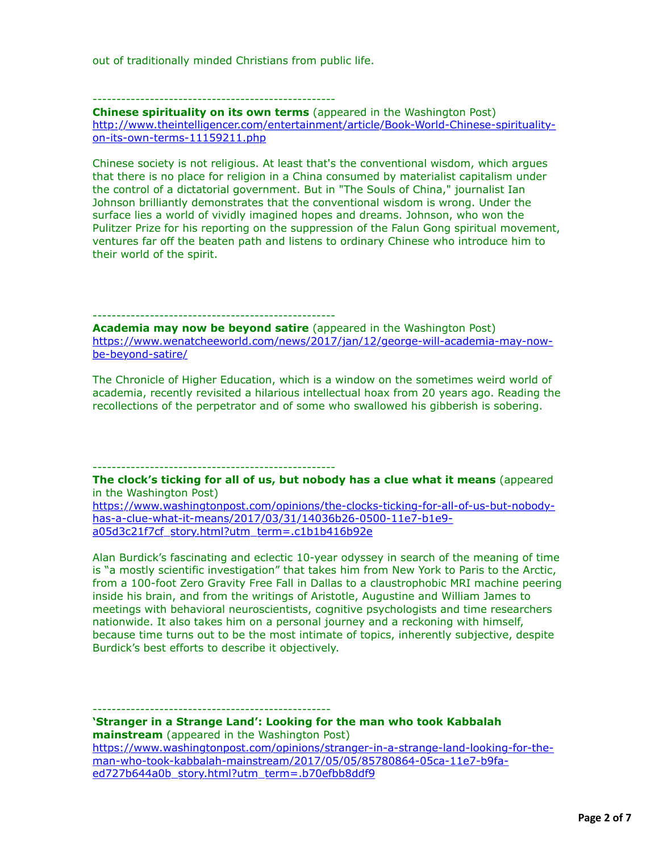out of traditionally minded Christians from public life.

#### ---------------------------------------------------

**Chinese spirituality on its own terms** (appeared in the Washington Post) [http://www.theintelligencer.com/entertainment/article/Book-World-Chinese-spirituality](http://www.theintelligencer.com/entertainment/article/Book-World-Chinese-spirituality-on-its-own-terms-11159211.php)on-its-own-terms-11159211.php

Chinese society is not religious. At least that's the conventional wisdom, which argues that there is no place for religion in a China consumed by materialist capitalism under the control of a dictatorial government. But in "The Souls of China," journalist Ian Johnson brilliantly demonstrates that the conventional wisdom is wrong. Under the surface lies a world of vividly imagined hopes and dreams. Johnson, who won the Pulitzer Prize for his reporting on the suppression of the Falun Gong spiritual movement, ventures far off the beaten path and listens to ordinary Chinese who introduce him to their world of the spirit.

#### ---------------------------------------------------

**Academia may now be beyond satire** (appeared in the Washington Post) [https://www.wenatcheeworld.com/news/2017/jan/12/george-will-academia-may-now](https://www.wenatcheeworld.com/news/2017/jan/12/george-will-academia-may-now-be-beyond-satire/)be-beyond-satire/

The Chronicle of Higher Education, which is a window on the sometimes weird world of academia, recently revisited a hilarious intellectual hoax from 20 years ago. Reading the recollections of the perpetrator and of some who swallowed his gibberish is sobering.

#### ---------------------------------------------------

**The clock's ticking for all of us, but nobody has a clue what it means** (appeared in the Washington Post)

[https://www.washingtonpost.com/opinions/the-clocks-ticking-for-all-of-us-but-nobody](https://www.washingtonpost.com/opinions/the-clocks-ticking-for-all-of-us-but-nobody-has-a-clue-what-it-means/2017/03/31/14036b26-0500-11e7-b1e9-a05d3c21f7cf_story.html?utm_term=.c1b1b416b92e)has-a-clue-what-it-means/2017/03/31/14036b26-0500-11e7-b1e9 a05d3c21f7cf\_story.html?utm\_term=.c1b1b416b92e

Alan Burdick's fascinating and eclectic 10-year odyssey in search of the meaning of time is "a mostly scientific investigation" that takes him from New York to Paris to the Arctic, from a 100-foot Zero Gravity Free Fall in Dallas to a claustrophobic MRI machine peering inside his brain, and from the writings of Aristotle, Augustine and William James to meetings with behavioral neuroscientists, cognitive psychologists and time researchers nationwide. It also takes him on a personal journey and a reckoning with himself, because time turns out to be the most intimate of topics, inherently subjective, despite Burdick's best efforts to describe it objectively.

**'Stranger in a Strange Land': Looking for the man who took Kabbalah mainstream** (appeared in the Washington Post) [https://www.washingtonpost.com/opinions/stranger-in-a-strange-land-looking-for-the](https://www.washingtonpost.com/opinions/stranger-in-a-strange-land-looking-for-the-man-who-took-kabbalah-mainstream/2017/05/05/85780864-05ca-11e7-b9fa-ed727b644a0b_story.html?utm_term=.b70efbb8ddf9)man-who-took-kabbalah-mainstream/2017/05/05/85780864-05ca-11e7-b9faed727b644a0b\_story.html?utm\_term=.b70efbb8ddf9

--------------------------------------------------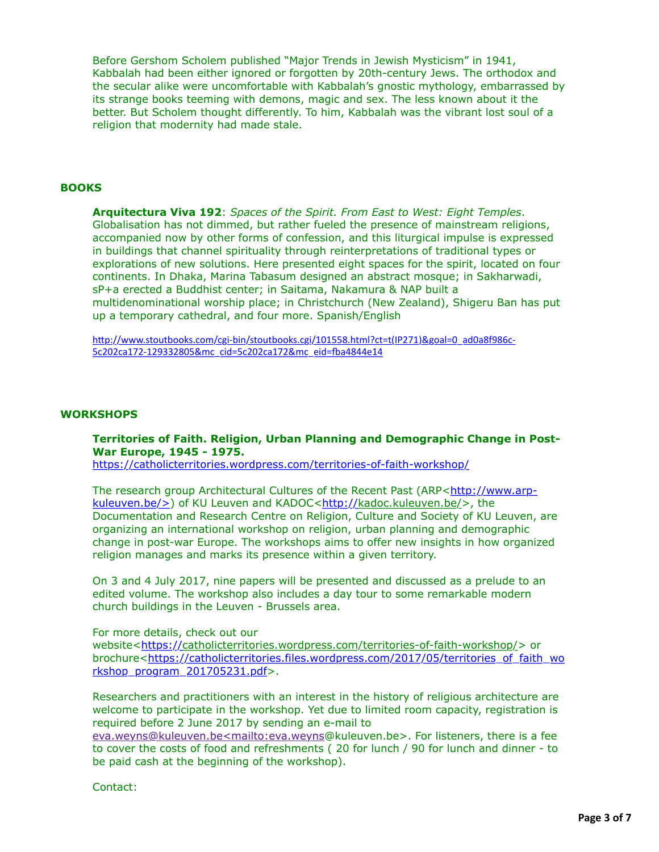Before Gershom Scholem published "Major Trends in Jewish Mysticism" in 1941, Kabbalah had been either ignored or forgotten by 20th-century Jews. The orthodox and the secular alike were uncomfortable with Kabbalah's gnostic mythology, embarrassed by its strange books teeming with demons, magic and sex. The less known about it the better. But Scholem thought differently. To him, Kabbalah was the vibrant lost soul of a religion that modernity had made stale.

# **BOOKS**

**Arquitectura Viva 192**: *Spaces of the Spirit. From East to West: Eight Temples*. Globalisation has not dimmed, but rather fueled the presence of mainstream religions, accompanied now by other forms of confession, and this liturgical impulse is expressed in buildings that channel spirituality through reinterpretations of traditional types or explorations of new solutions. Here presented eight spaces for the spirit, located on four continents. In Dhaka, Marina Tabasum designed an abstract mosque; in Sakharwadi, sP+a erected a Buddhist center; in Saitama, Nakamura & NAP built a multidenominational worship place; in Christchurch (New Zealand), Shigeru Ban has put up a temporary cathedral, and four more. Spanish/English

http://www.stoutbooks.com/cgi-bin/stoutbooks.cgi/101558.html?ct=t(IP271)&goal=0\_ad0a8f986c-5c202ca172-129332805&mc\_cid=5c202ca172&mc\_eid=fba4844e14

### **WORKSHOPS**

# **Territories of Faith. Religion, Urban Planning and Demographic Change in Post-War Europe, 1945 - 1975.**

<https://catholicterritories.wordpress.com/territories-of-faith-workshop/>

[The research group Architectural Cultures of the Recent Past \(ARP<http://www.arp-](http://www.arp-kuleuven.be/%3E)kuleuven.be/>) of KU Leuven and KADOC[<http://k](http://)adoc.kuleuven.be/>, the Documentation and Research Centre on Religion, Culture and Society of KU Leuven, are organizing an international workshop on religion, urban planning and demographic change in post-war Europe. The workshops aims to offer new insights in how organized religion manages and marks its presence within a given territory.

On 3 and 4 July 2017, nine papers will be presented and discussed as a prelude to an edited volume. The workshop also includes a day tour to some remarkable modern church buildings in the Leuven - Brussels area.

### For more details, check out our

website[<https://c](https://)atholicterritories.wordpress.com/territories-of-faith-workshop/> or [brochure<https://catholicterritories.files.wordpress.com/2017/05/territories\\_of\\_faith\\_wo](https://catholicterritories.files.wordpress.com/2017/05/territories_of_faith_workshop_program_201705231.pdf) rkshop\_program\_201705231.pdf>.

Researchers and practitioners with an interest in the history of religious architecture are welcome to participate in the workshop. Yet due to limited room capacity, registration is required before 2 June 2017 by sending an e-mail to

[eva.weyns@kuleuven.be<mailto:eva.weyns](applewebdata://FC778D2E-56D1-4192-B86A-229BEF046663)@kuleuven.be>. For listeners, there is a fee to cover the costs of food and refreshments (20 for lunch / 90 for lunch and dinner - to be paid cash at the beginning of the workshop).

Contact: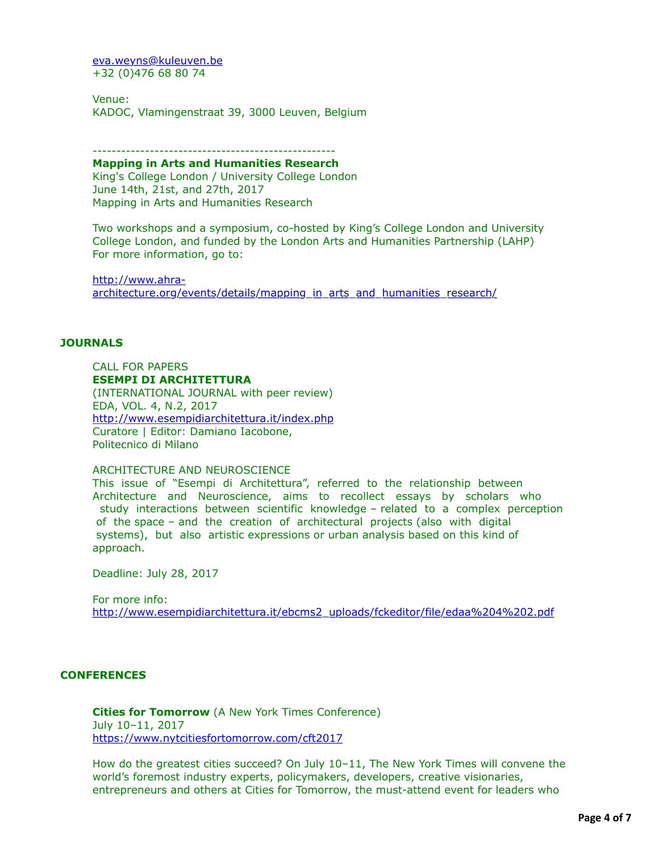[eva.weyns@kuleuven.be](applewebdata://FC778D2E-56D1-4192-B86A-229BEF046663/eva.weyns@kuleuven.be) +32 (0)476 68 80 74

Venue: KADOC, Vlamingenstraat 39, 3000 Leuven, Belgium

#### --------------------------------------------------- **Mapping in Arts and Humanities Research**

King's College London / University College London June 14th, 21st, and 27th, 2017 Mapping in Arts and Humanities Research

Two workshops and a symposium, co-hosted by King's College London and University College London, and funded by the London Arts and Humanities Partnership (LAHP) For more information, go to:

http://www.ahra[architecture.org/events/details/mapping\\_in\\_arts\\_and\\_humanities\\_research/](http://www.ahra-architecture.org/events/details/mapping_in_arts_and_humanities_research/)

# **JOURNALS**

CALL FOR PAPERS **ESEMPI DI ARCHITETTURA** (INTERNATIONAL JOURNAL with peer review) EDA, VOL. 4, N.2, 2017 <http://www.esempidiarchitettura.it/index.php> Curatore | Editor: Damiano Iacobone, Politecnico di Milano

ARCHITECTURE AND NEUROSCIENCE

This issue of "Esempi di Architettura", referred to the relationship between Architecture and Neuroscience, aims to recollect essays by scholars who study interactions between scientific knowledge – related to a complex perception of the space – and the creation of architectural projects (also with digital systems), but also artistic expressions or urban analysis based on this kind of approach.

Deadline: July 28, 2017

For more info: [http://www.esempidiarchitettura.it/ebcms2\\_uploads/fckeditor/file/edaa%204%202.pdf](http://www.esempidiarchitettura.it/ebcms2_uploads/fckeditor/file/edaa%204%202.pdf)

# **CONFERENCES**

**Cities for Tomorrow** (A New York Times Conference) July 10–11, 2017 <https://www.nytcitiesfortomorrow.com/cft2017>

How do the greatest cities succeed? On July 10–11, The New York Times will convene the world's foremost industry experts, policymakers, developers, creative visionaries, entrepreneurs and others at Cities for Tomorrow, the must-attend event for leaders who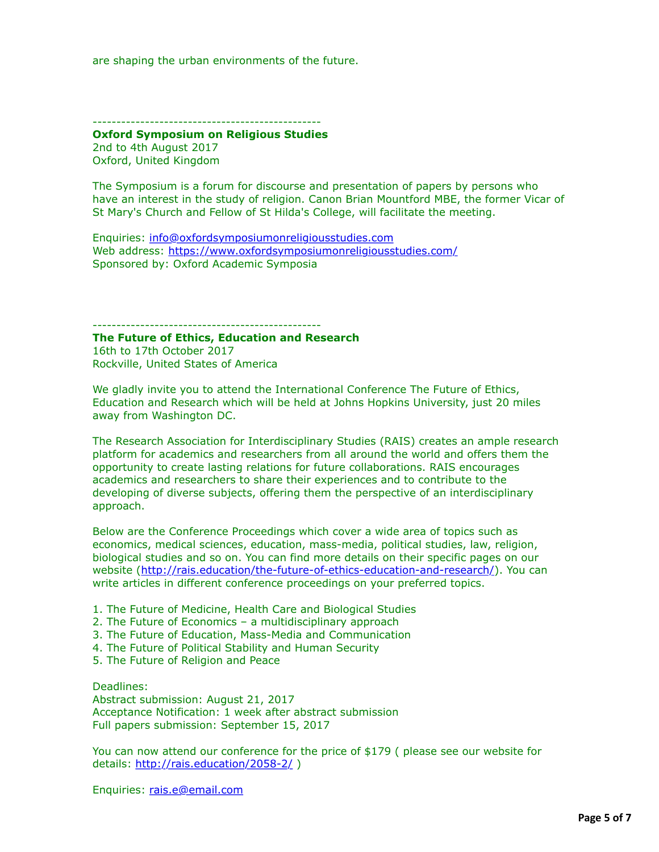are shaping the urban environments of the future.

------------------------------------------------

**Oxford Symposium on Religious Studies** 2nd to 4th August 2017 Oxford, United Kingdom

The Symposium is a forum for discourse and presentation of papers by persons who have an interest in the study of religion. Canon Brian Mountford MBE, the former Vicar of St Mary's Church and Fellow of St Hilda's College, will facilitate the meeting.

Enquiries: [info@oxfordsymposiumonreligiousstudies.com](applewebdata://FC778D2E-56D1-4192-B86A-229BEF046663/info@oxfordsymposiumonreligiousstudies.com) Web address:<https://www.oxfordsymposiumonreligiousstudies.com/> Sponsored by: Oxford Academic Symposia

------------------------------------------------

**The Future of Ethics, Education and Research** 16th to 17th October 2017 Rockville, United States of America

We gladly invite you to attend the International Conference The Future of Ethics, Education and Research which will be held at Johns Hopkins University, just 20 miles away from Washington DC.

The Research Association for Interdisciplinary Studies (RAIS) creates an ample research platform for academics and researchers from all around the world and offers them the opportunity to create lasting relations for future collaborations. RAIS encourages academics and researchers to share their experiences and to contribute to the developing of diverse subjects, offering them the perspective of an interdisciplinary approach.

Below are the Conference Proceedings which cover a wide area of topics such as economics, medical sciences, education, mass-media, political studies, law, religion, biological studies and so on. You can find more details on their specific pages on our website [\(http://rais.education/the-future-of-ethics-education-and-research/](http://rais.education/the-future-of-ethics-education-and-research/)). You can write articles in different conference proceedings on your preferred topics.

- 1. The Future of Medicine, Health Care and Biological Studies
- 2. The Future of Economics a multidisciplinary approach
- 3. The Future of Education, Mass-Media and Communication
- 4. The Future of Political Stability and Human Security
- 5. The Future of Religion and Peace

Deadlines: Abstract submission: August 21, 2017 Acceptance Notification: 1 week after abstract submission Full papers submission: September 15, 2017

You can now attend our conference for the price of \$179 ( please see our website for details: <http://rais.education/2058-2/>)

Enquiries: [rais.e@email.com](applewebdata://FC778D2E-56D1-4192-B86A-229BEF046663/rais.e@email.com)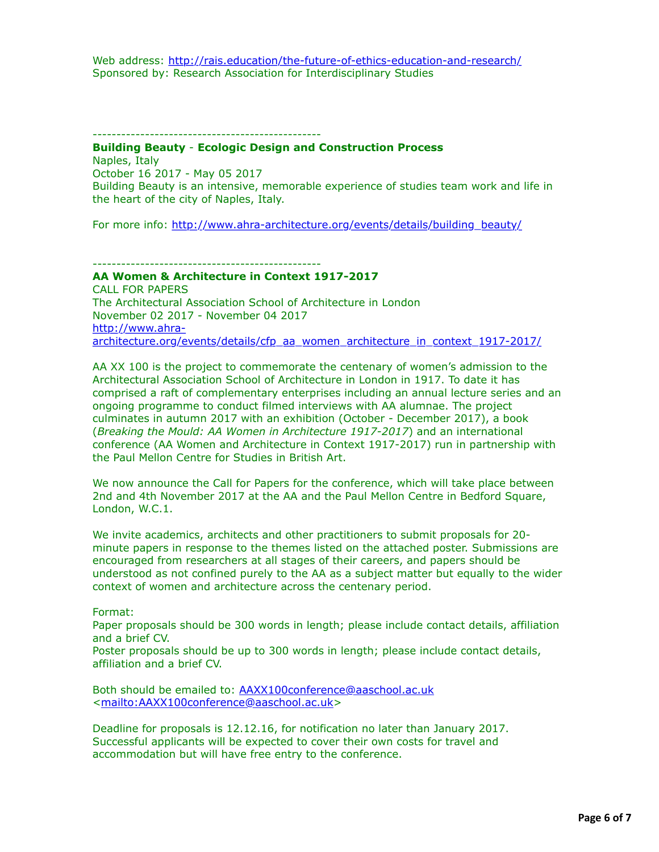------------------------------------------------

## **Building Beauty** - **Ecologic Design and Construction Process** Naples, Italy October 16 2017 - May 05 2017 Building Beauty is an intensive, memorable experience of studies team work and life in

the heart of the city of Naples, Italy.

For more info: [http://www.ahra-architecture.org/events/details/building\\_beauty/](http://www.ahra-architecture.org/events/details/building_beauty/)

------------------------------------------------

**AA Women & Architecture in Context 1917-2017**  CALL FOR PAPERS The Architectural Association School of Architecture in London November 02 2017 - November 04 2017 http://www.ahra[architecture.org/events/details/cfp\\_aa\\_women\\_architecture\\_in\\_context\\_1917-2017/](http://www.ahra-architecture.org/events/details/cfp_aa_women_architecture_in_context_1917-2017/)

AA XX 100 is the project to commemorate the centenary of women's admission to the Architectural Association School of Architecture in London in 1917. To date it has comprised a raft of complementary enterprises including an annual lecture series and an ongoing programme to conduct filmed interviews with AA alumnae. The project culminates in autumn 2017 with an exhibition (October - December 2017), a book (*Breaking the Mould: AA Women in Architecture 1917-2017*) and an international conference (AA Women and Architecture in Context 1917-2017) run in partnership with the Paul Mellon Centre for Studies in British Art.

We now announce the Call for Papers for the conference, which will take place between 2nd and 4th November 2017 at the AA and the Paul Mellon Centre in Bedford Square, London, W.C.1.

We invite academics, architects and other practitioners to submit proposals for 20 minute papers in response to the themes listed on the attached poster. Submissions are encouraged from researchers at all stages of their careers, and papers should be understood as not confined purely to the AA as a subject matter but equally to the wider context of women and architecture across the centenary period.

Format:

Paper proposals should be 300 words in length; please include contact details, affiliation and a brief CV.

Poster proposals should be up to 300 words in length; please include contact details, affiliation and a brief CV.

Both should be emailed to: [AAXX100conference@aaschool.ac.uk](applewebdata://FC778D2E-56D1-4192-B86A-229BEF046663/AAXX100conference@aaschool.ac.uk) <[mailto:AAXX100conference@aaschool.ac.uk>](mailto:AAXX100conference@aaschool.ac.uk)

Deadline for proposals is 12.12.16, for notification no later than January 2017. Successful applicants will be expected to cover their own costs for travel and accommodation but will have free entry to the conference.